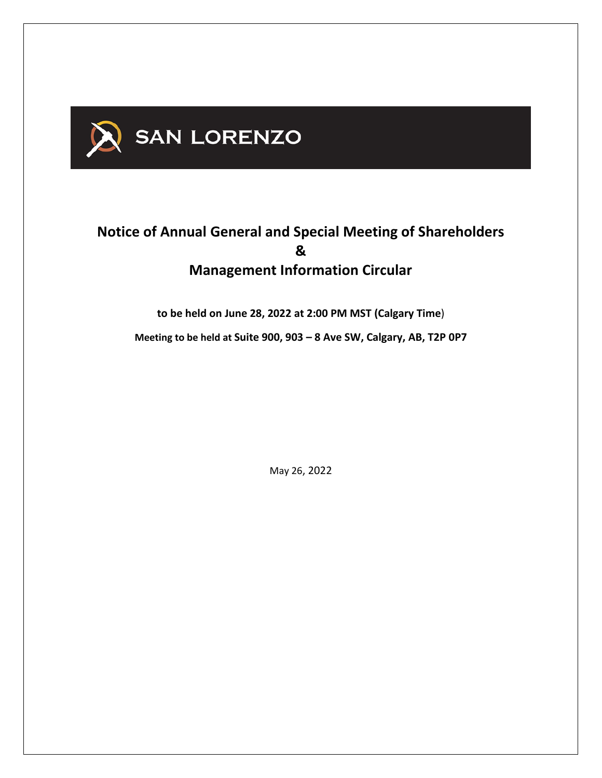

# **Notice of Annual General and Special Meeting of Shareholders & Management Information Circular**

**to be held on June 28, 2022 at 2:00 PM MST (Calgary Time**)

**Meeting to be held at Suite 900, 903 – 8 Ave SW, Calgary, AB, T2P 0P7**

May 26, 2022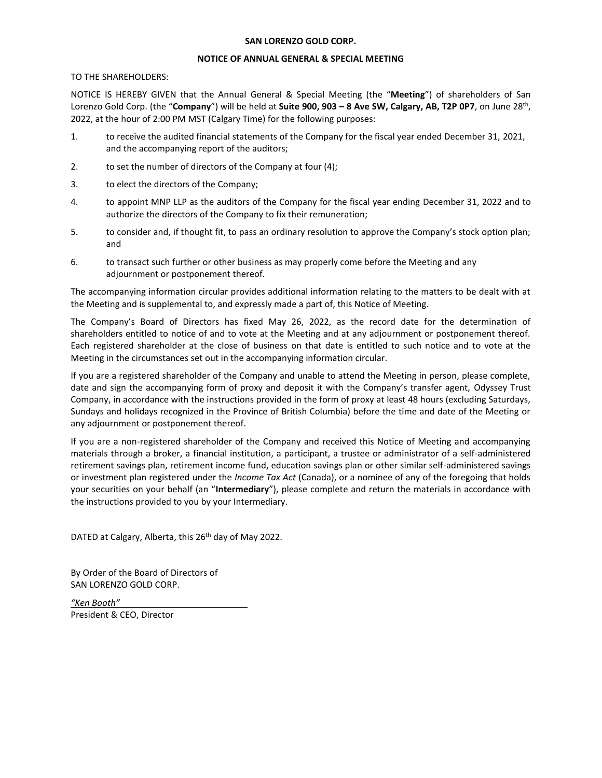#### **SAN LORENZO GOLD CORP.**

#### **NOTICE OF ANNUAL GENERAL & SPECIAL MEETING**

#### TO THE SHAREHOLDERS:

NOTICE IS HEREBY GIVEN that the Annual General & Special Meeting (the "**Meeting**") of shareholders of San Lorenzo Gold Corp. (the "**Company**") will be held at **Suite 900, 903 – 8 Ave SW, Calgary, AB, T2P 0P7**, on June 28th , 2022, at the hour of 2:00 PM MST (Calgary Time) for the following purposes:

- 1. to receive the audited financial statements of the Company for the fiscal year ended December 31, 2021, and the accompanying report of the auditors;
- 2. to set the number of directors of the Company at four (4);
- 3. to elect the directors of the Company;
- 4. to appoint MNP LLP as the auditors of the Company for the fiscal year ending December 31, 2022 and to authorize the directors of the Company to fix their remuneration;
- 5. to consider and, if thought fit, to pass an ordinary resolution to approve the Company's stock option plan; and
- 6. to transact such further or other business as may properly come before the Meeting and any adjournment or postponement thereof.

The accompanying information circular provides additional information relating to the matters to be dealt with at the Meeting and is supplemental to, and expressly made a part of, this Notice of Meeting.

The Company's Board of Directors has fixed May 26, 2022, as the record date for the determination of shareholders entitled to notice of and to vote at the Meeting and at any adjournment or postponement thereof. Each registered shareholder at the close of business on that date is entitled to such notice and to vote at the Meeting in the circumstances set out in the accompanying information circular.

If you are a registered shareholder of the Company and unable to attend the Meeting in person, please complete, date and sign the accompanying form of proxy and deposit it with the Company's transfer agent, Odyssey Trust Company, in accordance with the instructions provided in the form of proxy at least 48 hours (excluding Saturdays, Sundays and holidays recognized in the Province of British Columbia) before the time and date of the Meeting or any adjournment or postponement thereof.

If you are a non-registered shareholder of the Company and received this Notice of Meeting and accompanying materials through a broker, a financial institution, a participant, a trustee or administrator of a self-administered retirement savings plan, retirement income fund, education savings plan or other similar self-administered savings or investment plan registered under the *Income Tax Act* (Canada), or a nominee of any of the foregoing that holds your securities on your behalf (an "**Intermediary**"), please complete and return the materials in accordance with the instructions provided to you by your Intermediary.

DATED at Calgary, Alberta, this 26<sup>th</sup> day of May 2022.

By Order of the Board of Directors of SAN LORENZO GOLD CORP.

*"Ken Booth"* President & CEO, Director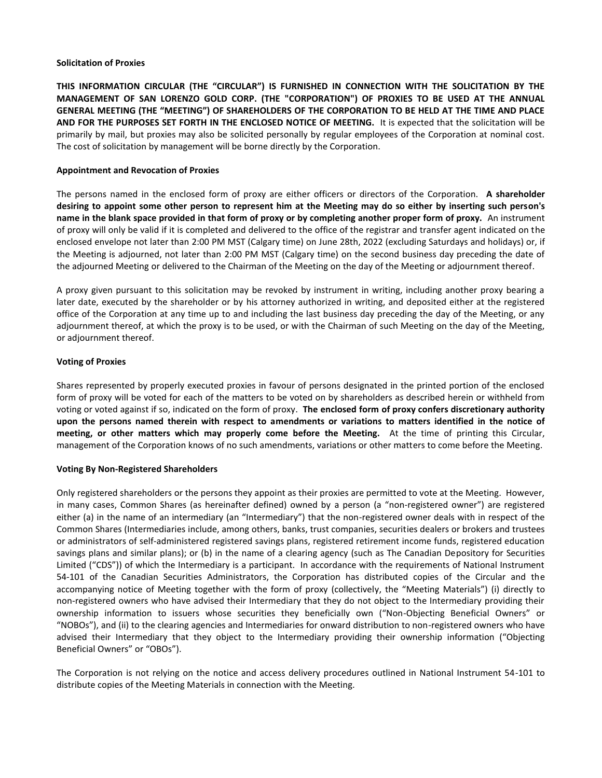#### **Solicitation of Proxies**

**THIS INFORMATION CIRCULAR (THE "CIRCULAR") IS FURNISHED IN CONNECTION WITH THE SOLICITATION BY THE MANAGEMENT OF SAN LORENZO GOLD CORP. (THE "CORPORATION") OF PROXIES TO BE USED AT THE ANNUAL GENERAL MEETING (THE "MEETING") OF SHAREHOLDERS OF THE CORPORATION TO BE HELD AT THE TIME AND PLACE AND FOR THE PURPOSES SET FORTH IN THE ENCLOSED NOTICE OF MEETING.** It is expected that the solicitation will be primarily by mail, but proxies may also be solicited personally by regular employees of the Corporation at nominal cost. The cost of solicitation by management will be borne directly by the Corporation.

## **Appointment and Revocation of Proxies**

The persons named in the enclosed form of proxy are either officers or directors of the Corporation. **A shareholder desiring to appoint some other person to represent him at the Meeting may do so either by inserting such person's name in the blank space provided in that form of proxy or by completing another proper form of proxy.** An instrument of proxy will only be valid if it is completed and delivered to the office of the registrar and transfer agent indicated on the enclosed envelope not later than 2:00 PM MST (Calgary time) on June 28th, 2022 (excluding Saturdays and holidays) or, if the Meeting is adjourned, not later than 2:00 PM MST (Calgary time) on the second business day preceding the date of the adjourned Meeting or delivered to the Chairman of the Meeting on the day of the Meeting or adjournment thereof.

A proxy given pursuant to this solicitation may be revoked by instrument in writing, including another proxy bearing a later date, executed by the shareholder or by his attorney authorized in writing, and deposited either at the registered office of the Corporation at any time up to and including the last business day preceding the day of the Meeting, or any adjournment thereof, at which the proxy is to be used, or with the Chairman of such Meeting on the day of the Meeting, or adjournment thereof.

# **Voting of Proxies**

Shares represented by properly executed proxies in favour of persons designated in the printed portion of the enclosed form of proxy will be voted for each of the matters to be voted on by shareholders as described herein or withheld from voting or voted against if so, indicated on the form of proxy. **The enclosed form of proxy confers discretionary authority upon the persons named therein with respect to amendments or variations to matters identified in the notice of meeting, or other matters which may properly come before the Meeting.** At the time of printing this Circular, management of the Corporation knows of no such amendments, variations or other matters to come before the Meeting.

#### **Voting By Non-Registered Shareholders**

Only registered shareholders or the persons they appoint as their proxies are permitted to vote at the Meeting. However, in many cases, Common Shares (as hereinafter defined) owned by a person (a "non-registered owner") are registered either (a) in the name of an intermediary (an "Intermediary") that the non-registered owner deals with in respect of the Common Shares (Intermediaries include, among others, banks, trust companies, securities dealers or brokers and trustees or administrators of self-administered registered savings plans, registered retirement income funds, registered education savings plans and similar plans); or (b) in the name of a clearing agency (such as The Canadian Depository for Securities Limited ("CDS")) of which the Intermediary is a participant. In accordance with the requirements of National Instrument 54-101 of the Canadian Securities Administrators, the Corporation has distributed copies of the Circular and the accompanying notice of Meeting together with the form of proxy (collectively, the "Meeting Materials") (i) directly to non-registered owners who have advised their Intermediary that they do not object to the Intermediary providing their ownership information to issuers whose securities they beneficially own ("Non-Objecting Beneficial Owners" or "NOBOs"), and (ii) to the clearing agencies and Intermediaries for onward distribution to non-registered owners who have advised their Intermediary that they object to the Intermediary providing their ownership information ("Objecting Beneficial Owners" or "OBOs").

The Corporation is not relying on the notice and access delivery procedures outlined in National Instrument 54-101 to distribute copies of the Meeting Materials in connection with the Meeting.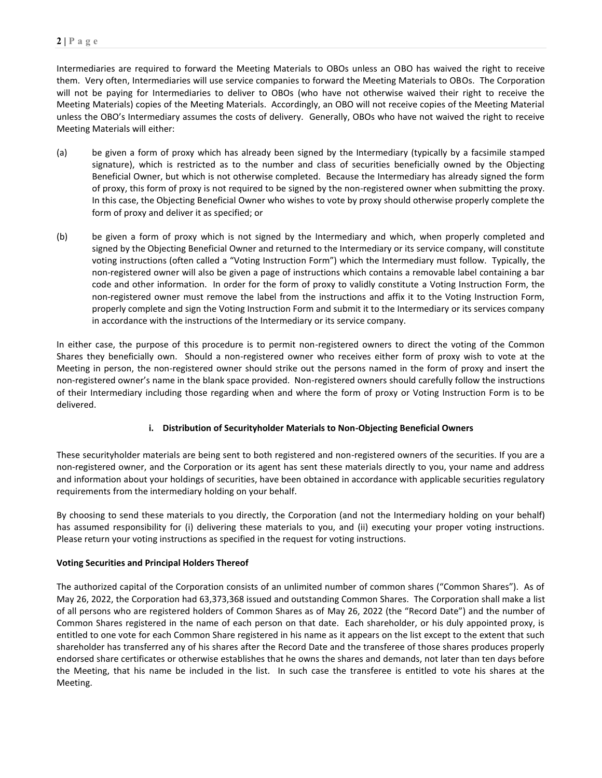Intermediaries are required to forward the Meeting Materials to OBOs unless an OBO has waived the right to receive them. Very often, Intermediaries will use service companies to forward the Meeting Materials to OBOs. The Corporation will not be paying for Intermediaries to deliver to OBOs (who have not otherwise waived their right to receive the Meeting Materials) copies of the Meeting Materials. Accordingly, an OBO will not receive copies of the Meeting Material unless the OBO's Intermediary assumes the costs of delivery. Generally, OBOs who have not waived the right to receive Meeting Materials will either:

- (a) be given a form of proxy which has already been signed by the Intermediary (typically by a facsimile stamped signature), which is restricted as to the number and class of securities beneficially owned by the Objecting Beneficial Owner, but which is not otherwise completed. Because the Intermediary has already signed the form of proxy, this form of proxy is not required to be signed by the non-registered owner when submitting the proxy. In this case, the Objecting Beneficial Owner who wishes to vote by proxy should otherwise properly complete the form of proxy and deliver it as specified; or
- (b) be given a form of proxy which is not signed by the Intermediary and which, when properly completed and signed by the Objecting Beneficial Owner and returned to the Intermediary or its service company, will constitute voting instructions (often called a "Voting Instruction Form") which the Intermediary must follow. Typically, the non-registered owner will also be given a page of instructions which contains a removable label containing a bar code and other information. In order for the form of proxy to validly constitute a Voting Instruction Form, the non-registered owner must remove the label from the instructions and affix it to the Voting Instruction Form, properly complete and sign the Voting Instruction Form and submit it to the Intermediary or its services company in accordance with the instructions of the Intermediary or its service company.

In either case, the purpose of this procedure is to permit non-registered owners to direct the voting of the Common Shares they beneficially own. Should a non-registered owner who receives either form of proxy wish to vote at the Meeting in person, the non-registered owner should strike out the persons named in the form of proxy and insert the non-registered owner's name in the blank space provided. Non-registered owners should carefully follow the instructions of their Intermediary including those regarding when and where the form of proxy or Voting Instruction Form is to be delivered.

# **i. Distribution of Securityholder Materials to Non-Objecting Beneficial Owners**

These securityholder materials are being sent to both registered and non-registered owners of the securities. If you are a non-registered owner, and the Corporation or its agent has sent these materials directly to you, your name and address and information about your holdings of securities, have been obtained in accordance with applicable securities regulatory requirements from the intermediary holding on your behalf.

By choosing to send these materials to you directly, the Corporation (and not the Intermediary holding on your behalf) has assumed responsibility for (i) delivering these materials to you, and (ii) executing your proper voting instructions. Please return your voting instructions as specified in the request for voting instructions.

# **Voting Securities and Principal Holders Thereof**

The authorized capital of the Corporation consists of an unlimited number of common shares ("Common Shares"). As of May 26, 2022, the Corporation had 63,373,368 issued and outstanding Common Shares. The Corporation shall make a list of all persons who are registered holders of Common Shares as of May 26, 2022 (the "Record Date") and the number of Common Shares registered in the name of each person on that date. Each shareholder, or his duly appointed proxy, is entitled to one vote for each Common Share registered in his name as it appears on the list except to the extent that such shareholder has transferred any of his shares after the Record Date and the transferee of those shares produces properly endorsed share certificates or otherwise establishes that he owns the shares and demands, not later than ten days before the Meeting, that his name be included in the list. In such case the transferee is entitled to vote his shares at the Meeting.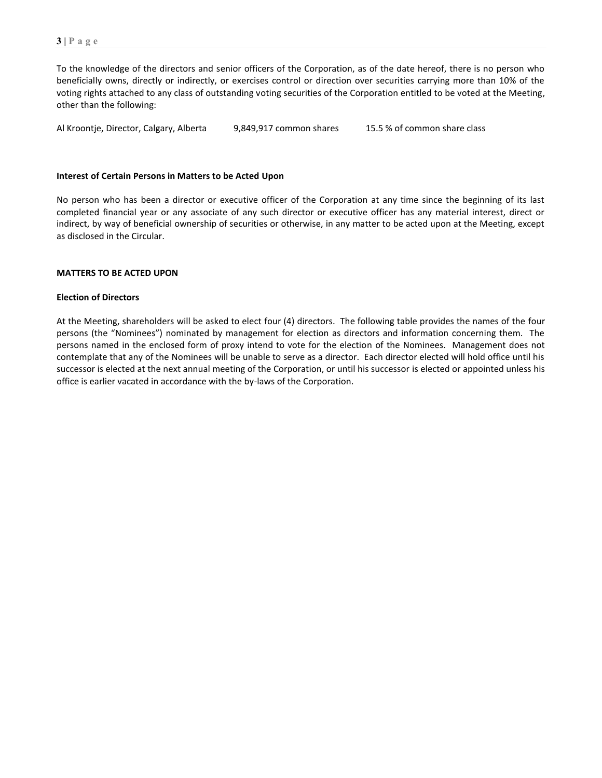To the knowledge of the directors and senior officers of the Corporation, as of the date hereof, there is no person who beneficially owns, directly or indirectly, or exercises control or direction over securities carrying more than 10% of the voting rights attached to any class of outstanding voting securities of the Corporation entitled to be voted at the Meeting, other than the following:

Al Kroontje, Director, Calgary, Alberta 9,849,917 common shares 15.5 % of common share class

#### **Interest of Certain Persons in Matters to be Acted Upon**

No person who has been a director or executive officer of the Corporation at any time since the beginning of its last completed financial year or any associate of any such director or executive officer has any material interest, direct or indirect, by way of beneficial ownership of securities or otherwise, in any matter to be acted upon at the Meeting, except as disclosed in the Circular.

#### **MATTERS TO BE ACTED UPON**

#### **Election of Directors**

At the Meeting, shareholders will be asked to elect four (4) directors. The following table provides the names of the four persons (the "Nominees") nominated by management for election as directors and information concerning them. The persons named in the enclosed form of proxy intend to vote for the election of the Nominees. Management does not contemplate that any of the Nominees will be unable to serve as a director. Each director elected will hold office until his successor is elected at the next annual meeting of the Corporation, or until his successor is elected or appointed unless his office is earlier vacated in accordance with the by-laws of the Corporation.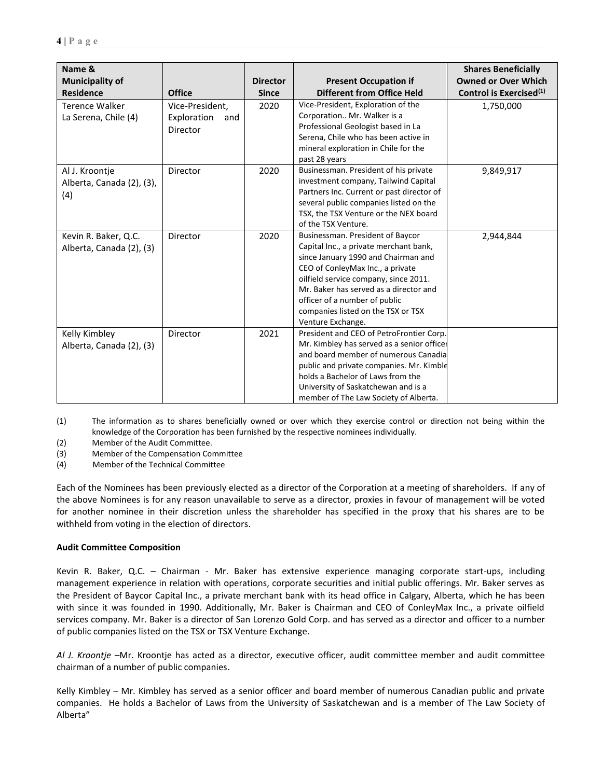| Name &<br><b>Municipality of</b>                   |                                                   | <b>Director</b> | <b>Present Occupation if</b>                                                                                                                                                                                                                                                                                                         | <b>Shares Beneficially</b><br><b>Owned or Over Which</b> |
|----------------------------------------------------|---------------------------------------------------|-----------------|--------------------------------------------------------------------------------------------------------------------------------------------------------------------------------------------------------------------------------------------------------------------------------------------------------------------------------------|----------------------------------------------------------|
| <b>Residence</b>                                   | <b>Office</b>                                     | <b>Since</b>    | <b>Different from Office Held</b>                                                                                                                                                                                                                                                                                                    | Control is Exercised <sup>(1)</sup>                      |
| <b>Terence Walker</b><br>La Serena, Chile (4)      | Vice-President,<br>Exploration<br>and<br>Director | 2020            | Vice-President, Exploration of the<br>Corporation Mr. Walker is a<br>Professional Geologist based in La<br>Serena, Chile who has been active in<br>mineral exploration in Chile for the<br>past 28 years                                                                                                                             | 1,750,000                                                |
| Al J. Kroontje<br>Alberta, Canada (2), (3),<br>(4) | Director                                          | 2020            | Businessman. President of his private<br>investment company, Tailwind Capital<br>Partners Inc. Current or past director of<br>several public companies listed on the<br>TSX, the TSX Venture or the NEX board<br>of the TSX Venture.                                                                                                 | 9,849,917                                                |
| Kevin R. Baker, Q.C.<br>Alberta, Canada (2), (3)   | Director                                          | 2020            | Businessman. President of Baycor<br>Capital Inc., a private merchant bank,<br>since January 1990 and Chairman and<br>CEO of ConleyMax Inc., a private<br>oilfield service company, since 2011.<br>Mr. Baker has served as a director and<br>officer of a number of public<br>companies listed on the TSX or TSX<br>Venture Exchange. | 2,944,844                                                |
| Kelly Kimbley<br>Alberta, Canada (2), (3)          | Director                                          | 2021            | President and CEO of PetroFrontier Corp.<br>Mr. Kimbley has served as a senior officer<br>and board member of numerous Canadia<br>public and private companies. Mr. Kimble<br>holds a Bachelor of Laws from the<br>University of Saskatchewan and is a<br>member of The Law Society of Alberta.                                      |                                                          |

(1) The information as to shares beneficially owned or over which they exercise control or direction not being within the knowledge of the Corporation has been furnished by the respective nominees individually.

(2) Member of the Audit Committee.

(3) Member of the Compensation Committee

(4) Member of the Technical Committee

Each of the Nominees has been previously elected as a director of the Corporation at a meeting of shareholders. If any of the above Nominees is for any reason unavailable to serve as a director, proxies in favour of management will be voted for another nominee in their discretion unless the shareholder has specified in the proxy that his shares are to be withheld from voting in the election of directors.

# **Audit Committee Composition**

Kevin R. Baker, Q.C. – Chairman - Mr. Baker has extensive experience managing corporate start-ups, including management experience in relation with operations, corporate securities and initial public offerings. Mr. Baker serves as the President of Baycor Capital Inc., a private merchant bank with its head office in Calgary, Alberta, which he has been with since it was founded in 1990. Additionally, Mr. Baker is Chairman and CEO of ConleyMax Inc., a private oilfield services company. Mr. Baker is a director of San Lorenzo Gold Corp. and has served as a director and officer to a number of public companies listed on the TSX or TSX Venture Exchange.

*Al J. Kroontje* –Mr. Kroontje has acted as a director, executive officer, audit committee member and audit committee chairman of a number of public companies.

Kelly Kimbley – Mr. Kimbley has served as a senior officer and board member of numerous Canadian public and private companies. He holds a Bachelor of Laws from the University of Saskatchewan and is a member of The Law Society of Alberta"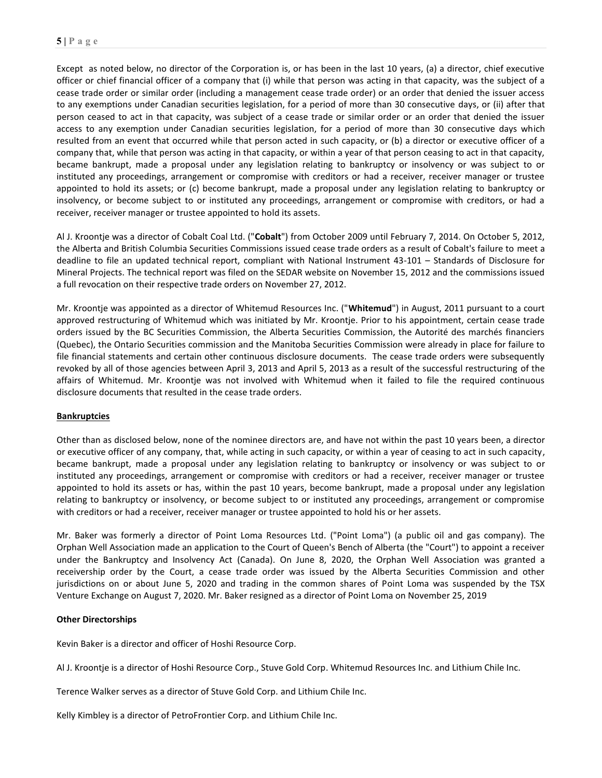Except as noted below, no director of the Corporation is, or has been in the last 10 years, (a) a director, chief executive officer or chief financial officer of a company that (i) while that person was acting in that capacity, was the subject of a cease trade order or similar order (including a management cease trade order) or an order that denied the issuer access to any exemptions under Canadian securities legislation, for a period of more than 30 consecutive days, or (ii) after that person ceased to act in that capacity, was subject of a cease trade or similar order or an order that denied the issuer access to any exemption under Canadian securities legislation, for a period of more than 30 consecutive days which resulted from an event that occurred while that person acted in such capacity, or (b) a director or executive officer of a company that, while that person was acting in that capacity, or within a year of that person ceasing to act in that capacity, became bankrupt, made a proposal under any legislation relating to bankruptcy or insolvency or was subject to or instituted any proceedings, arrangement or compromise with creditors or had a receiver, receiver manager or trustee appointed to hold its assets; or (c) become bankrupt, made a proposal under any legislation relating to bankruptcy or insolvency, or become subject to or instituted any proceedings, arrangement or compromise with creditors, or had a receiver, receiver manager or trustee appointed to hold its assets.

Al J. Kroontje was a director of Cobalt Coal Ltd. ("**Cobalt**") from October 2009 until February 7, 2014. On October 5, 2012, the Alberta and British Columbia Securities Commissions issued cease trade orders as a result of Cobalt's failure to meet a deadline to file an updated technical report, compliant with National Instrument 43-101 – Standards of Disclosure for Mineral Projects. The technical report was filed on the SEDAR website on November 15, 2012 and the commissions issued a full revocation on their respective trade orders on November 27, 2012.

Mr. Kroontje was appointed as a director of Whitemud Resources Inc. ("**Whitemud**") in August, 2011 pursuant to a court approved restructuring of Whitemud which was initiated by Mr. Kroontje. Prior to his appointment, certain cease trade orders issued by the BC Securities Commission, the Alberta Securities Commission, the Autorité des marchés financiers (Quebec), the Ontario Securities commission and the Manitoba Securities Commission were already in place for failure to file financial statements and certain other continuous disclosure documents. The cease trade orders were subsequently revoked by all of those agencies between April 3, 2013 and April 5, 2013 as a result of the successful restructuring of the affairs of Whitemud. Mr. Kroontje was not involved with Whitemud when it failed to file the required continuous disclosure documents that resulted in the cease trade orders.

# **Bankruptcies**

Other than as disclosed below, none of the nominee directors are, and have not within the past 10 years been, a director or executive officer of any company, that, while acting in such capacity, or within a year of ceasing to act in such capacity, became bankrupt, made a proposal under any legislation relating to bankruptcy or insolvency or was subject to or instituted any proceedings, arrangement or compromise with creditors or had a receiver, receiver manager or trustee appointed to hold its assets or has, within the past 10 years, become bankrupt, made a proposal under any legislation relating to bankruptcy or insolvency, or become subject to or instituted any proceedings, arrangement or compromise with creditors or had a receiver, receiver manager or trustee appointed to hold his or her assets.

Mr. Baker was formerly a director of Point Loma Resources Ltd. ("Point Loma") (a public oil and gas company). The Orphan Well Association made an application to the Court of Queen's Bench of Alberta (the "Court") to appoint a receiver under the Bankruptcy and Insolvency Act (Canada). On June 8, 2020, the Orphan Well Association was granted a receivership order by the Court, a cease trade order was issued by the Alberta Securities Commission and other jurisdictions on or about June 5, 2020 and trading in the common shares of Point Loma was suspended by the TSX Venture Exchange on August 7, 2020. Mr. Baker resigned as a director of Point Loma on November 25, 2019

# **Other Directorships**

Kevin Baker is a director and officer of Hoshi Resource Corp.

Al J. Kroontje is a director of Hoshi Resource Corp., Stuve Gold Corp. Whitemud Resources Inc. and Lithium Chile Inc.

Terence Walker serves as a director of Stuve Gold Corp. and Lithium Chile Inc.

Kelly Kimbley is a director of PetroFrontier Corp. and Lithium Chile Inc.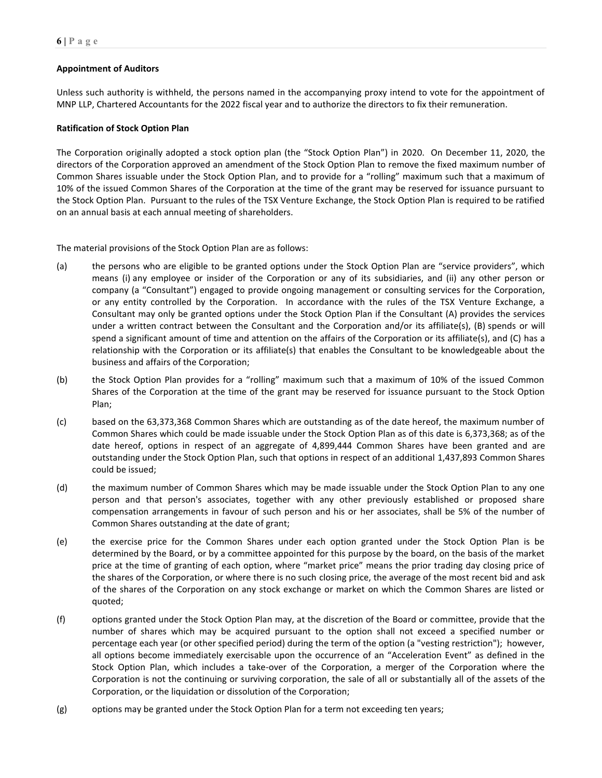# **Appointment of Auditors**

Unless such authority is withheld, the persons named in the accompanying proxy intend to vote for the appointment of MNP LLP, Chartered Accountants for the 2022 fiscal year and to authorize the directors to fix their remuneration.

# **Ratification of Stock Option Plan**

The Corporation originally adopted a stock option plan (the "Stock Option Plan") in 2020. On December 11, 2020, the directors of the Corporation approved an amendment of the Stock Option Plan to remove the fixed maximum number of Common Shares issuable under the Stock Option Plan, and to provide for a "rolling" maximum such that a maximum of 10% of the issued Common Shares of the Corporation at the time of the grant may be reserved for issuance pursuant to the Stock Option Plan. Pursuant to the rules of the TSX Venture Exchange, the Stock Option Plan is required to be ratified on an annual basis at each annual meeting of shareholders.

The material provisions of the Stock Option Plan are as follows:

- (a) the persons who are eligible to be granted options under the Stock Option Plan are "service providers", which means (i) any employee or insider of the Corporation or any of its subsidiaries, and (ii) any other person or company (a "Consultant") engaged to provide ongoing management or consulting services for the Corporation, or any entity controlled by the Corporation. In accordance with the rules of the TSX Venture Exchange, a Consultant may only be granted options under the Stock Option Plan if the Consultant (A) provides the services under a written contract between the Consultant and the Corporation and/or its affiliate(s), (B) spends or will spend a significant amount of time and attention on the affairs of the Corporation or its affiliate(s), and (C) has a relationship with the Corporation or its affiliate(s) that enables the Consultant to be knowledgeable about the business and affairs of the Corporation;
- (b) the Stock Option Plan provides for a "rolling" maximum such that a maximum of 10% of the issued Common Shares of the Corporation at the time of the grant may be reserved for issuance pursuant to the Stock Option Plan;
- (c) based on the 63,373,368 Common Shares which are outstanding as of the date hereof, the maximum number of Common Shares which could be made issuable under the Stock Option Plan as of this date is 6,373,368; as of the date hereof, options in respect of an aggregate of 4,899,444 Common Shares have been granted and are outstanding under the Stock Option Plan, such that options in respect of an additional 1,437,893 Common Shares could be issued;
- (d) the maximum number of Common Shares which may be made issuable under the Stock Option Plan to any one person and that person's associates, together with any other previously established or proposed share compensation arrangements in favour of such person and his or her associates, shall be 5% of the number of Common Shares outstanding at the date of grant;
- (e) the exercise price for the Common Shares under each option granted under the Stock Option Plan is be determined by the Board, or by a committee appointed for this purpose by the board, on the basis of the market price at the time of granting of each option, where "market price" means the prior trading day closing price of the shares of the Corporation, or where there is no such closing price, the average of the most recent bid and ask of the shares of the Corporation on any stock exchange or market on which the Common Shares are listed or quoted;
- (f) options granted under the Stock Option Plan may, at the discretion of the Board or committee, provide that the number of shares which may be acquired pursuant to the option shall not exceed a specified number or percentage each year (or other specified period) during the term of the option (a "vesting restriction"); however, all options become immediately exercisable upon the occurrence of an "Acceleration Event" as defined in the Stock Option Plan, which includes a take-over of the Corporation, a merger of the Corporation where the Corporation is not the continuing or surviving corporation, the sale of all or substantially all of the assets of the Corporation, or the liquidation or dissolution of the Corporation;
- (g) options may be granted under the Stock Option Plan for a term not exceeding ten years;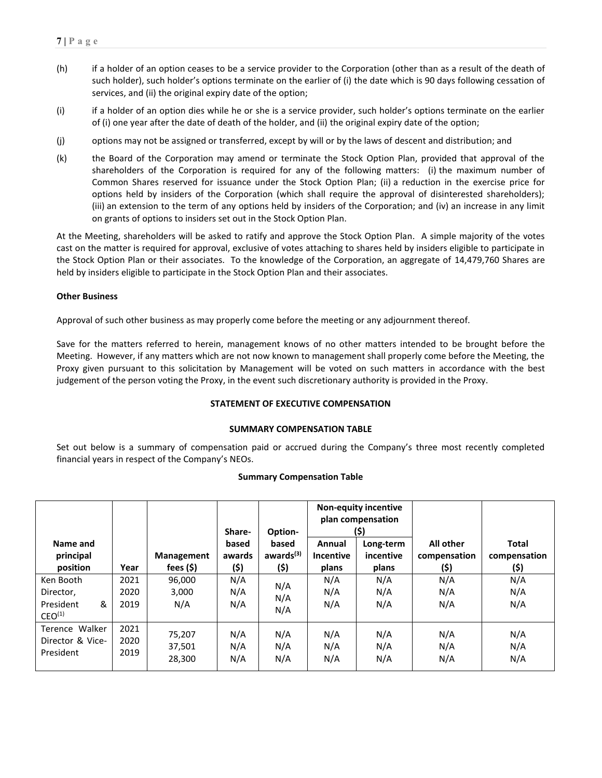- (h) if a holder of an option ceases to be a service provider to the Corporation (other than as a result of the death of such holder), such holder's options terminate on the earlier of (i) the date which is 90 days following cessation of services, and (ii) the original expiry date of the option;
- (i) if a holder of an option dies while he or she is a service provider, such holder's options terminate on the earlier of (i) one year after the date of death of the holder, and (ii) the original expiry date of the option;
- (j) options may not be assigned or transferred, except by will or by the laws of descent and distribution; and
- (k) the Board of the Corporation may amend or terminate the Stock Option Plan, provided that approval of the shareholders of the Corporation is required for any of the following matters: (i) the maximum number of Common Shares reserved for issuance under the Stock Option Plan; (ii) a reduction in the exercise price for options held by insiders of the Corporation (which shall require the approval of disinterested shareholders); (iii) an extension to the term of any options held by insiders of the Corporation; and (iv) an increase in any limit on grants of options to insiders set out in the Stock Option Plan.

At the Meeting, shareholders will be asked to ratify and approve the Stock Option Plan. A simple majority of the votes cast on the matter is required for approval, exclusive of votes attaching to shares held by insiders eligible to participate in the Stock Option Plan or their associates. To the knowledge of the Corporation, an aggregate of 14,479,760 Shares are held by insiders eligible to participate in the Stock Option Plan and their associates.

# **Other Business**

Approval of such other business as may properly come before the meeting or any adjournment thereof.

Save for the matters referred to herein, management knows of no other matters intended to be brought before the Meeting. However, if any matters which are not now known to management shall properly come before the Meeting, the Proxy given pursuant to this solicitation by Management will be voted on such matters in accordance with the best judgement of the person voting the Proxy, in the event such discretionary authority is provided in the Proxy.

# **STATEMENT OF EXECUTIVE COMPENSATION**

#### **SUMMARY COMPENSATION TABLE**

Set out below is a summary of compensation paid or accrued during the Company's three most recently completed financial years in respect of the Company's NEOs.

#### **Summary Compensation Table**

|                                                                |                      |                                   | Share-                  | <b>Non-equity incentive</b><br>plan compensation<br>(\$)<br>Option- |                                     |                                 |                                   |                                      |
|----------------------------------------------------------------|----------------------|-----------------------------------|-------------------------|---------------------------------------------------------------------|-------------------------------------|---------------------------------|-----------------------------------|--------------------------------------|
| Name and<br>principal<br>position                              | Year                 | <b>Management</b><br>fees $($ \$) | based<br>awards<br>(\$) | based<br>awards <sup>(3)</sup><br>(\$)                              | Annual<br><b>Incentive</b><br>plans | Long-term<br>incentive<br>plans | All other<br>compensation<br>(\$) | <b>Total</b><br>compensation<br>(\$) |
| Ken Booth<br>Director,<br>&<br>President<br>CEO <sup>(1)</sup> | 2021<br>2020<br>2019 | 96,000<br>3,000<br>N/A            | N/A<br>N/A<br>N/A       | N/A<br>N/A<br>N/A                                                   | N/A<br>N/A<br>N/A                   | N/A<br>N/A<br>N/A               | N/A<br>N/A<br>N/A                 | N/A<br>N/A<br>N/A                    |
| Terence Walker<br>Director & Vice-<br>President                | 2021<br>2020<br>2019 | 75,207<br>37,501<br>28,300        | N/A<br>N/A<br>N/A       | N/A<br>N/A<br>N/A                                                   | N/A<br>N/A<br>N/A                   | N/A<br>N/A<br>N/A               | N/A<br>N/A<br>N/A                 | N/A<br>N/A<br>N/A                    |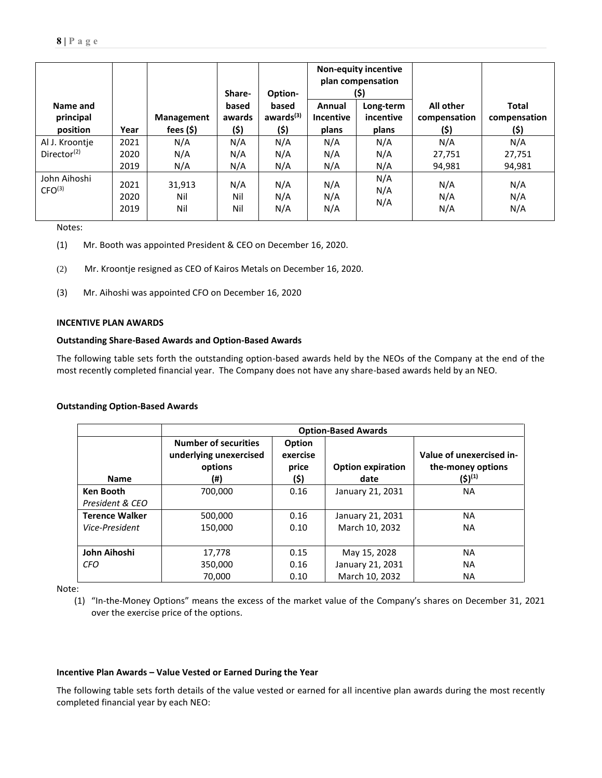|                                    |                      |                      | Share-            | Option-                        | <b>Non-equity incentive</b><br>plan compensation<br>(\$) |                        |                           |                              |
|------------------------------------|----------------------|----------------------|-------------------|--------------------------------|----------------------------------------------------------|------------------------|---------------------------|------------------------------|
| Name and<br>principal              |                      | Management           | based<br>awards   | based<br>awards <sup>(3)</sup> | Annual<br><b>Incentive</b>                               | Long-term<br>incentive | All other<br>compensation | <b>Total</b><br>compensation |
| position                           | Year                 | fees $($ \$)         | (\$)              | (\$)                           | plans                                                    | plans                  | (\$)                      | (\$)                         |
| Al J. Kroontje                     | 2021                 | N/A                  | N/A               | N/A                            | N/A                                                      | N/A                    | N/A                       | N/A                          |
| Director <sup>(2)</sup>            | 2020                 | N/A                  | N/A               | N/A                            | N/A                                                      | N/A                    | 27,751                    | 27,751                       |
|                                    | 2019                 | N/A                  | N/A               | N/A                            | N/A                                                      | N/A                    | 94,981                    | 94,981                       |
| John Aihoshi<br>CFO <sup>(3)</sup> | 2021<br>2020<br>2019 | 31,913<br>Nil<br>Nil | N/A<br>Nil<br>Nil | N/A<br>N/A<br>N/A              | N/A<br>N/A<br>N/A                                        | N/A<br>N/A<br>N/A      | N/A<br>N/A<br>N/A         | N/A<br>N/A<br>N/A            |

Notes:

- (1) Mr. Booth was appointed President & CEO on December 16, 2020.
- (2) Mr. Kroontje resigned as CEO of Kairos Metals on December 16, 2020.
- (3) Mr. Aihoshi was appointed CFO on December 16, 2020

## **INCENTIVE PLAN AWARDS**

# **Outstanding Share-Based Awards and Option-Based Awards**

The following table sets forth the outstanding option-based awards held by the NEOs of the Company at the end of the most recently completed financial year. The Company does not have any share-based awards held by an NEO.

#### **Outstanding Option-Based Awards**

|                       | <b>Option-Based Awards</b>                                              |                                     |                                  |                                                                      |  |  |  |
|-----------------------|-------------------------------------------------------------------------|-------------------------------------|----------------------------------|----------------------------------------------------------------------|--|--|--|
| <b>Name</b>           | <b>Number of securities</b><br>underlying unexercised<br>options<br>(#) | Option<br>exercise<br>price<br>(\$) | <b>Option expiration</b><br>date | Value of unexercised in-<br>the-money options<br>(\$) <sup>(1)</sup> |  |  |  |
| <b>Ken Booth</b>      | 700.000                                                                 | 0.16                                | January 21, 2031                 | <b>NA</b>                                                            |  |  |  |
| President & CEO       |                                                                         |                                     |                                  |                                                                      |  |  |  |
| <b>Terence Walker</b> | 500,000                                                                 | 0.16                                | January 21, 2031                 | <b>NA</b>                                                            |  |  |  |
| Vice-President        | 150.000                                                                 | 0.10                                | March 10, 2032                   | <b>NA</b>                                                            |  |  |  |
|                       |                                                                         |                                     |                                  |                                                                      |  |  |  |
| John Aihoshi          | 17,778                                                                  | 0.15                                | May 15, 2028                     | <b>NA</b>                                                            |  |  |  |
| <b>CFO</b>            | 350,000                                                                 | 0.16                                | January 21, 2031                 | <b>NA</b>                                                            |  |  |  |
|                       | 70.000                                                                  | 0.10                                | March 10, 2032                   | <b>NA</b>                                                            |  |  |  |

Note:

(1) "In-the-Money Options" means the excess of the market value of the Company's shares on December 31, 2021 over the exercise price of the options.

#### **Incentive Plan Awards – Value Vested or Earned During the Year**

The following table sets forth details of the value vested or earned for all incentive plan awards during the most recently completed financial year by each NEO: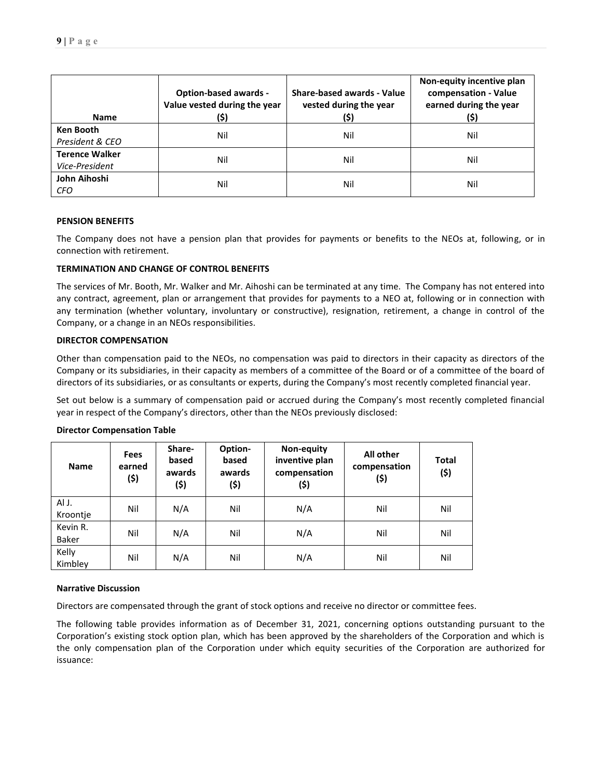| <b>Name</b>           | <b>Option-based awards -</b><br>Value vested during the year<br>(\$) | Share-based awards - Value<br>vested during the year<br>(\$) | Non-equity incentive plan<br>compensation - Value<br>earned during the year<br>(\$) |  |
|-----------------------|----------------------------------------------------------------------|--------------------------------------------------------------|-------------------------------------------------------------------------------------|--|
| <b>Ken Booth</b>      | Nil                                                                  | Nil                                                          | Nil                                                                                 |  |
| President & CEO       |                                                                      |                                                              |                                                                                     |  |
| <b>Terence Walker</b> | Nil                                                                  | Nil                                                          |                                                                                     |  |
| Vice-President        |                                                                      |                                                              | Nil                                                                                 |  |
| John Aihoshi          | Nil                                                                  | Nil                                                          | Nil                                                                                 |  |
| <b>CFO</b>            |                                                                      |                                                              |                                                                                     |  |

# **PENSION BENEFITS**

The Company does not have a pension plan that provides for payments or benefits to the NEOs at, following, or in connection with retirement.

# **TERMINATION AND CHANGE OF CONTROL BENEFITS**

The services of Mr. Booth, Mr. Walker and Mr. Aihoshi can be terminated at any time. The Company has not entered into any contract, agreement, plan or arrangement that provides for payments to a NEO at, following or in connection with any termination (whether voluntary, involuntary or constructive), resignation, retirement, a change in control of the Company, or a change in an NEOs responsibilities.

# **DIRECTOR COMPENSATION**

Other than compensation paid to the NEOs, no compensation was paid to directors in their capacity as directors of the Company or its subsidiaries, in their capacity as members of a committee of the Board or of a committee of the board of directors of its subsidiaries, or as consultants or experts, during the Company's most recently completed financial year.

Set out below is a summary of compensation paid or accrued during the Company's most recently completed financial year in respect of the Company's directors, other than the NEOs previously disclosed:

| <b>Name</b>              | <b>Fees</b><br>earned<br>(\$) | Share-<br>based<br>awards<br>(\$) | Option-<br>based<br>awards<br>(\$) | Non-equity<br>inventive plan<br>compensation<br>(\$) | All other<br>compensation<br>(\$) | <b>Total</b><br>(\$) |
|--------------------------|-------------------------------|-----------------------------------|------------------------------------|------------------------------------------------------|-----------------------------------|----------------------|
| Al J.<br>Kroontje        | Nil                           | N/A                               | Nil                                | N/A                                                  | Nil                               | Nil                  |
| Kevin R.<br><b>Baker</b> | Nil                           | N/A                               | Nil                                | N/A                                                  | Nil                               | Nil                  |
| Kelly<br>Kimbley         | Nil                           | N/A                               | Nil                                | N/A                                                  | Nil                               | Nil                  |

#### **Director Compensation Table**

#### **Narrative Discussion**

Directors are compensated through the grant of stock options and receive no director or committee fees.

The following table provides information as of December 31, 2021, concerning options outstanding pursuant to the Corporation's existing stock option plan, which has been approved by the shareholders of the Corporation and which is the only compensation plan of the Corporation under which equity securities of the Corporation are authorized for issuance: